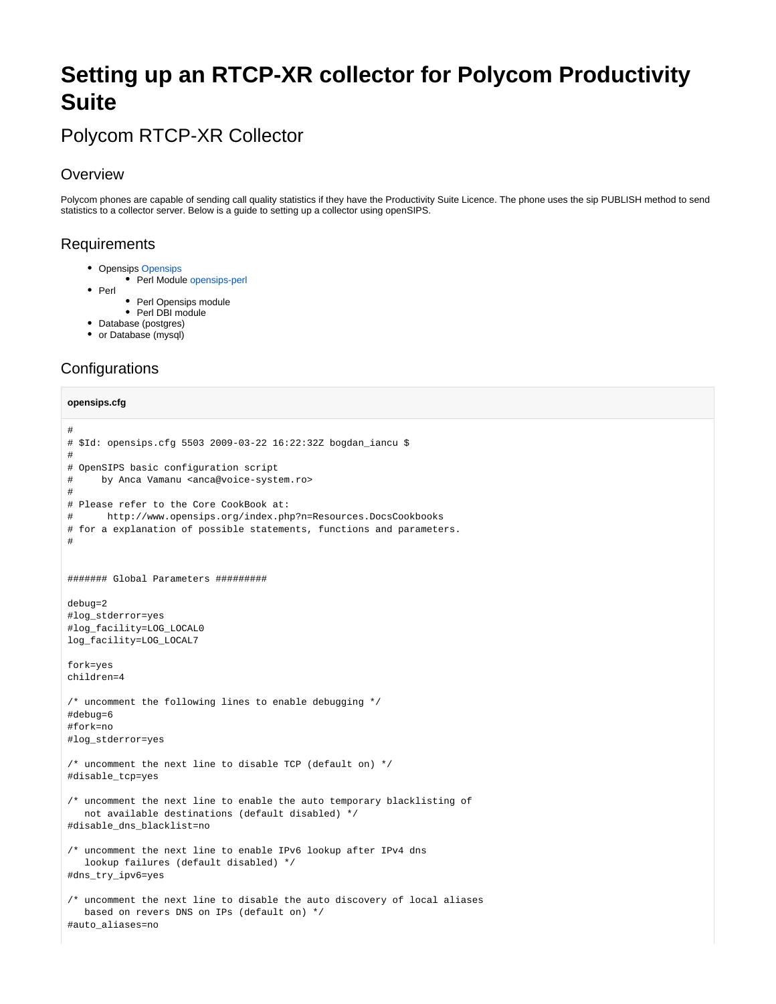# **Setting up an RTCP-XR collector for Polycom Productivity Suite**

# Polycom RTCP-XR Collector

### **Overview**

Polycom phones are capable of sending call quality statistics if they have the Productivity Suite Licence. The phone uses the sip PUBLISH method to send statistics to a collector server. Below is a guide to setting up a collector using openSIPS.

### Requirements

- [Opensips](http://www.opensips.org/) Opensips
	- Perl Module [opensips-perl](http://www.opensips.org/html/docs/modules/1.6.x/perl.html)
- $\bullet$  Perl
	- Perl Opensips module
	- Perl DBI module
- Database (postgres)
- or Database (mysql)

## **Configurations**

### **opensips.cfg**

```
#
# $Id: opensips.cfg 5503 2009-03-22 16:22:32Z bogdan_iancu $
#
# OpenSIPS basic configuration script
# by Anca Vamanu <anca@voice-system.ro>
#
# Please refer to the Core CookBook at:
# http://www.opensips.org/index.php?n=Resources.DocsCookbooks
# for a explanation of possible statements, functions and parameters.
#
####### Global Parameters #########
debug=2
#log_stderror=yes
#log_facility=LOG_LOCAL0
log_facility=LOG_LOCAL7
fork=yes
children=4
/* uncomment the following lines to enable debugging */
#debug=6
#fork=no
#log_stderror=yes
/* uncomment the next line to disable TCP (default on) */
#disable_tcp=yes
/* uncomment the next line to enable the auto temporary blacklisting of 
   not available destinations (default disabled) */
#disable_dns_blacklist=no
/* uncomment the next line to enable IPv6 lookup after IPv4 dns 
    lookup failures (default disabled) */
#dns_try_ipv6=yes
/* uncomment the next line to disable the auto discovery of local aliases
   based on revers DNS on IPs (default on) */
#auto_aliases=no
```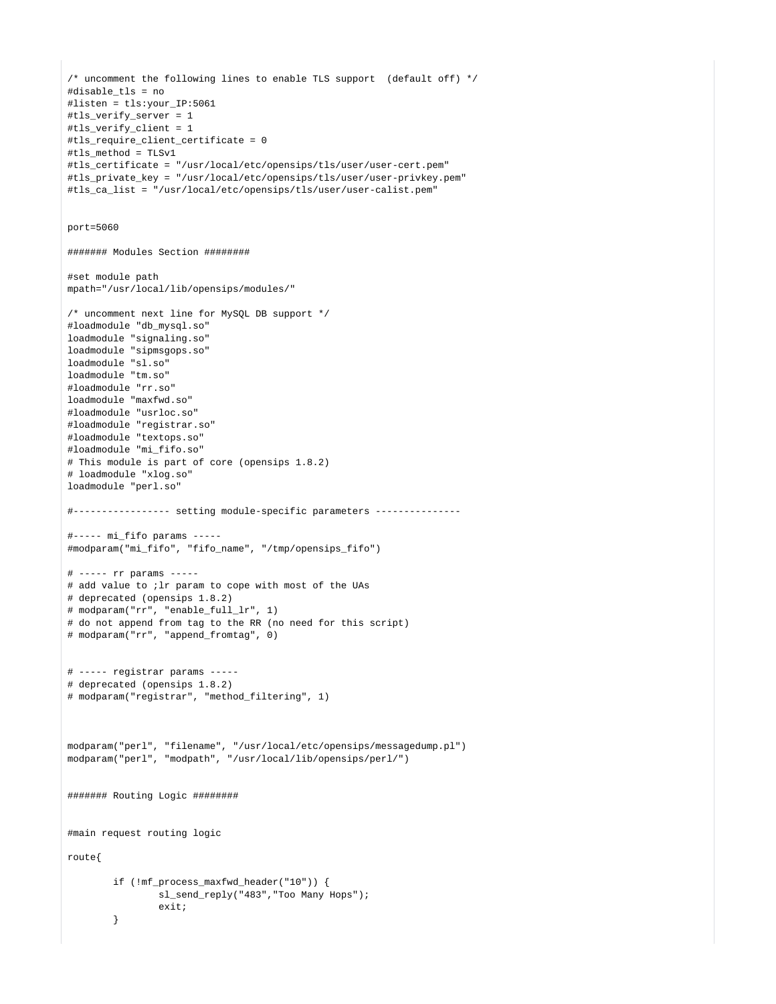```
/* uncomment the following lines to enable TLS support (default off) */
#disable_tls = no
#listen = tls:your_IP:5061
#tls_verify_server = 1
#tls_verify_client = 1
#tls_require_client_certificate = 0
#tls_method = TLSv1
#tls_certificate = "/usr/local/etc/opensips/tls/user/user-cert.pem"
#tls_private_key = "/usr/local/etc/opensips/tls/user/user-privkey.pem"
#tls_ca_list = "/usr/local/etc/opensips/tls/user/user-calist.pem"
port=5060
####### Modules Section ########
#set module path
mpath="/usr/local/lib/opensips/modules/"
/* uncomment next line for MySQL DB support */
#loadmodule "db_mysql.so"
loadmodule "signaling.so"
loadmodule "sipmsgops.so"
loadmodule "sl.so"
loadmodule "tm.so"
#loadmodule "rr.so"
loadmodule "maxfwd.so"
#loadmodule "usrloc.so"
#loadmodule "registrar.so"
#loadmodule "textops.so"
#loadmodule "mi_fifo.so"
# This module is part of core (opensips 1.8.2)
# loadmodule "xlog.so"
loadmodule "perl.so"
#----------------- setting module-specific parameters ---------------
#----- mi_fifo params -----
#modparam("mi_fifo", "fifo_name", "/tmp/opensips_fifo")
# ----- rr params -----
# add value to ;lr param to cope with most of the UAs
# deprecated (opensips 1.8.2)
# modparam("rr", "enable_full_lr", 1)
# do not append from tag to the RR (no need for this script)
# modparam("rr", "append_fromtag", 0)
# ----- registrar params -----
# deprecated (opensips 1.8.2)
# modparam("registrar", "method_filtering", 1)
modparam("perl", "filename", "/usr/local/etc/opensips/messagedump.pl")
modparam("perl", "modpath", "/usr/local/lib/opensips/perl/")
####### Routing Logic ########
#main request routing logic
route{
         if (!mf_process_maxfwd_header("10")) {
                sl_send_reply("483","Too Many Hops");
                exit;
         }
```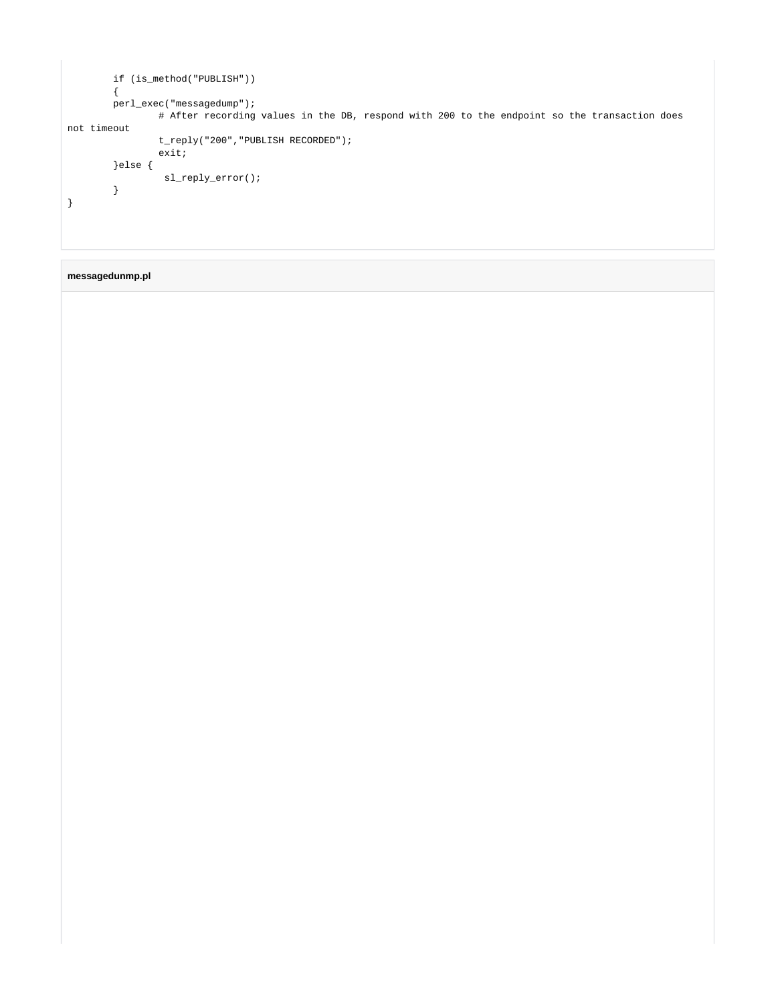```
 if (is_method("PUBLISH"))
         {
         perl_exec("messagedump");
                # After recording values in the DB, respond with 200 to the endpoint so the transaction does 
not timeout
                 t_reply("200","PUBLISH RECORDED");
                 exit;
         }else {
                 sl_reply_error();
         }
}
```
### **messagedunmp.pl**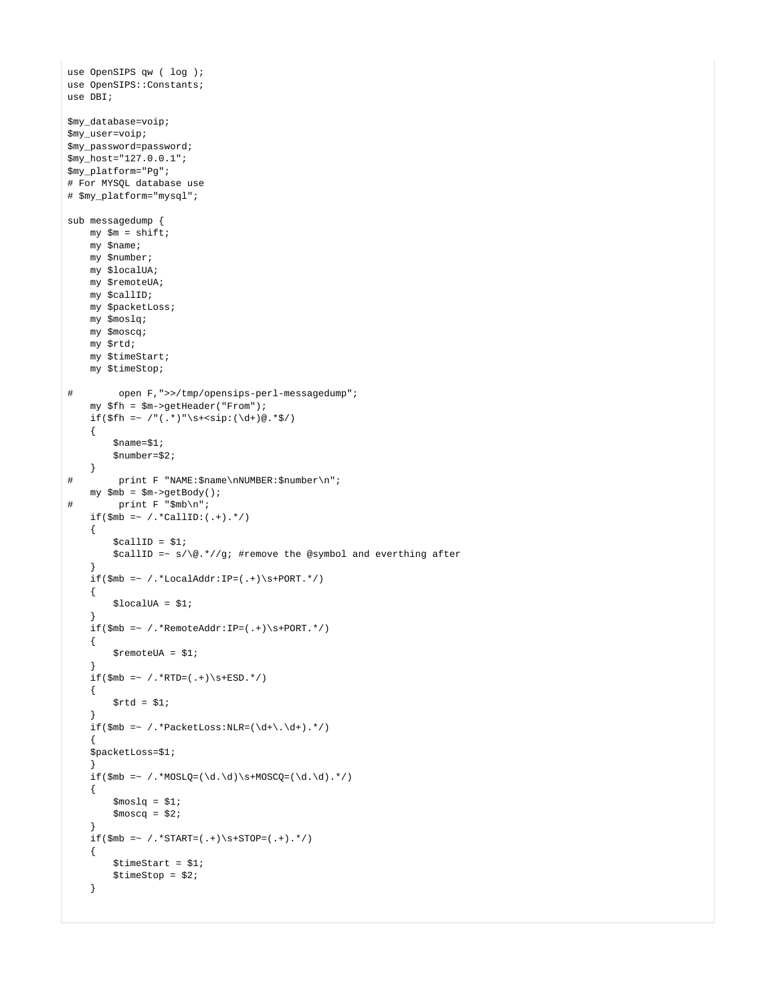```
use OpenSIPS qw ( log );
use OpenSIPS::Constants;
use DBI;
$my_database=voip;
$my_user=voip;
$my_password=password;
$my_host="127.0.0.1";
$my_platform="Pg";
# For MYSQL database use
# $my_platform="mysql";
sub messagedump {
    my \sin = \text{shift};
     my $name;
     my $number;
     my $localUA;
     my $remoteUA;
     my $callID;
     my $packetLoss;
     my $moslq;
     my $moscq;
     my $rtd;
     my $timeStart;
     my $timeStop;
# open F,">>/tmp/opensips-perl-messagedump";
     my $fh = $m->getHeader("From");
    if(\$fh = \gamma / "(.*)"\$+<sign:(\d+)\@.*\$/) {
          $name=$1;
          $number=$2;
     }
# print F "NAME:$name\nNUMBER:$number\n";
     my $mb = $m->getBody();
# print F "$mb\n";
    if(\texttt{\$mb} = \; / \; . \; *CallID: ( \; . \; +) \; . \; * / \; ) {
         $callID = $1;\eta sallID =~ s/\@.*//g; #remove the @symbol and everthing after
      }
    if(\$mb \text{w} = \text{w} / \cdot * \text{LocalAddr}: IP = ( . +) \s + \text{PORT.} \cdot / ) {
         $localUA = $1; }
     \label{eq:inf} \begin{minipage}[c]{0.9\linewidth} \emph{if ($\verb!mb =_ / +\verb!%=|, +) \verb!S+PORT.*/}) \normalsize \end{minipage} {
         $remoteUA = $1;
 }
     if(\$mb =~ / . *RTD = ( . +) \s+ESD. * / ) {
         $rtd = $1; }
      if($mb =~ /.*PacketLoss:NLR=(\d+\.\d+).*/)
      {
      $packetLoss=$1;
      }
     if(\$mb = \checkmark /.*MOSLQ=(\d.\d)\s+MOSCQ=(\d.\d).*/)
      {
         $~fmoslq = $1;$mostq = $2; }
     if(\$mb = ~ / . * \text{START} = ( . + ) \s + \text{STOP} = ( . + ) . * / ) {
          $timeStart = $1;
          $timeStop = $2;
      }
```